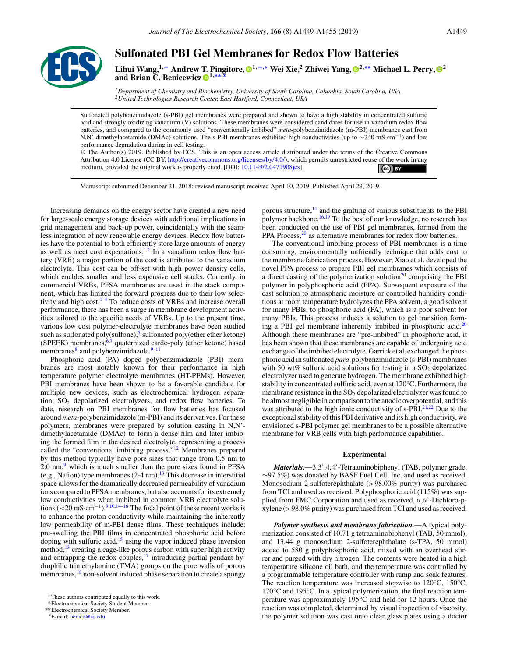

# **Sulfonated PBI Gel Membranes for Redox Flow Batteries**

**Lihui Wang,1,**<sup>=</sup> **Andrew T. Pingitore, 1,**=**,**<sup>∗</sup> **Wei Xie,2 Zhiwei Yang, 2,**∗∗ **Michael L. Perry, <sup>2</sup> and Brian C. Benicewicz** <sup>1,</sup>\*\*<sup>5</sup>

*1Department of Chemistry and Biochemistry, University of South Carolina, Columbia, South Carolina, USA 2United Technologies Research Center, East Hartford, Connecticut, USA*

Sulfonated polybenzimidazole (s-PBI) gel membranes were prepared and shown to have a high stability in concentrated sulfuric acid and strongly oxidizing vanadium (V) solutions. These membranes were considered candidates for use in vanadium redox flow batteries, and compared to the commonly used "conventionally imbibed" *meta*-polybenzimidazole (m-PBI) membranes cast from N,N'-dimethylacetamide (DMAc) solutions. The s-PBI membranes exhibited high conductivities (up to ∼240 mS cm<sup>-1</sup>) and low performance degradation during in-cell testing.

© The Author(s) 2019. Published by ECS. This is an open access article distributed under the terms of the Creative Commons Attribution 4.0 License (CC BY, [http://creativecommons.org/licenses/by/4.0/\)](http://creativecommons.org/licenses/by/4.0/), which permits unrestricted reuse of the work in any medium, provided the original work is properly cited. [DOI: [10.1149/2.0471908jes\]](http://dx.doi.org/10.1149/2.0471908jes)  $\left($ cc) BY

Manuscript submitted December 21, 2018; revised manuscript received April 10, 2019. Published April 29, 2019.

Increasing demands on the energy sector have created a new need for large-scale energy storage devices with additional implications in grid management and back-up power, coincidentally with the seamless integration of new renewable energy devices. Redox flow batteries have the potential to both efficiently store large amounts of energy as well as meet cost expectations.<sup>1,2</sup> In a vanadium redox flow battery (VRB) a major portion of the cost is attributed to the vanadium electrolyte. This cost can be off-set with high power density cells, which enables smaller and less expensive cell stacks. Currently, in commercial VRBs, PFSA membranes are used in the stack component, which has limited the forward progress due to their low selectivity and high cost.1–4 To reduce costs of VRBs and increase overall performance, there has been a surge in membrane development activities tailored to the specific needs of VRBs. Up to the present time, various low cost polymer-electrolyte membranes have been studied such as sulfonated poly(sulfone),<sup>5</sup> sulfonated poly(ether ether ketone) (SPEEK) membranes, $6$ , $\prime$  quaternized cardo-poly (ether ketone) based membranes $8$  and polybenzimidazole. $9-11$ 

Phosphoric acid (PA) doped polybenzimidazole (PBI) membranes are most notably known for their performance in high temperature polymer electrolyte membranes (HT-PEMs). However, PBI membranes have been shown to be a favorable candidate for multiple new devices, such as electrochemical hydrogen separation,  $SO<sub>2</sub>$  depolarized electrolyzers, and redox flow batteries. To date, research on PBI membranes for flow batteries has focused around *meta*-polybenzimidazole (m-PBI) and its derivatives. For these polymers, membranes were prepared by solution casting in N,N' dimethylacetamide (DMAc) to form a dense film and later imbibing the formed film in the desired electrolyte, representing a process called the "conventional imbibing process."12 Membranes prepared by this method typically have pore sizes that range from 0.5 nm to  $2.0 \text{ nm}$ , which is much smaller than the pore sizes found in PFSA (e.g., Nafion) type membranes  $(2-4 \text{ nm})$ .<sup>13</sup> This decrease in interstitial space allows for the dramatically decreased permeability of vanadium ions compared to PFSA membranes, but also accounts for its extremely low conductivities when imbibed in common VRB electrolyte solutions  $(<20 \text{ mS} \cdot \text{cm}^{-1})$ .<sup>9,10,14–16</sup> The focal point of these recent works is to enhance the proton conductivity while maintaining the inherently low permeability of m-PBI dense films. These techniques include: pre-swelling the PBI films in concentrated phosphoric acid before doping with sulfuric acid, $15$  using the vapor induced phase inversion method, $^{13}$  creating a cage-like porous carbon with super high activity and entrapping the redox couples, $\frac{17}{17}$  introducing partial pendant hydrophilic trimethylamine (TMA) groups on the pore walls of porous membranes,<sup>18</sup> non-solvent induced phase separation to create a spongy

porous structure,<sup>14</sup> and the grafting of various substituents to the PBI polymer backbone.<sup>16,19</sup> To the best of our knowledge, no research has been conducted on the use of PBI gel membranes, formed from the PPA Process,<sup>20</sup> as alternative membranes for redox flow batteries.

The conventional imbibing process of PBI membranes is a time consuming, environmentally unfriendly technique that adds cost to the membrane fabrication process. However, Xiao et al. developed the novel PPA process to prepare PBI gel membranes which consists of a direct casting of the polymerization solution<sup>20</sup> comprising the PBI polymer in polyphosphoric acid (PPA). Subsequent exposure of the cast solution to atmospheric moisture or controlled humidity conditions at room temperature hydrolyzes the PPA solvent, a good solvent for many PBIs, to phosphoric acid (PA), which is a poor solvent for many PBIs. This process induces a solution to gel transition forming a PBI gel membrane inherently imbibed in phosphoric acid.<sup>20</sup> Although these membranes are "pre-imbibed" in phosphoric acid, it has been shown that these membranes are capable of undergoing acid exchange of the imbibed electrolyte. Garrick et al. exchanged the phosphoric acid in sulfonated *para*-polybenzimidazole (s-PBI) membranes with 50 wt% sulfuric acid solutions for testing in a  $SO<sub>2</sub>$  depolarized electrolyzer used to generate hydrogen. The membrane exhibited high stability in concentrated sulfuric acid, even at 120°C. Furthermore, the membrane resistance in the  $SO<sub>2</sub>$  depolarized electrolyzer was found to be almost negligible in comparison to the anodic overpotential, and this was attributed to the high ionic conductivity of s-PBI.<sup>21,22</sup> Due to the exceptional stability of this PBI derivative and its high conductivity, we envisioned s-PBI polymer gel membranes to be a possible alternative membrane for VRB cells with high performance capabilities.

## **Experimental**

*Materials.—*3,3',4,4'-Tetraaminobiphenyl (TAB, polymer grade, ∼97.5%) was donated by BASF Fuel Cell, Inc. and used as received. Monosodium 2-sulfoterephthalate (*>*98.00% purity) was purchased from TCI and used as received. Polyphosphoric acid (115%) was supplied from FMC Corporation and used as received. α,α'-Dichloro-pxylene (*>*98.0% purity) was purchased from TCI and used as received.

*Polymer synthesis and membrane fabrication.—*A typical polymerization consisted of 10.71 g tetraaminobiphenyl (TAB, 50 mmol), and 13.44 g monosodium 2-sulfoterephthalate (s-TPA, 50 mmol) added to 580 g polyphosphoric acid, mixed with an overhead stirrer and purged with dry nitrogen. The contents were heated in a high temperature silicone oil bath, and the temperature was controlled by a programmable temperature controller with ramp and soak features. The reaction temperature was increased stepwise to 120°C, 150°C, 170°C and 195°C. In a typical polymerization, the final reaction temperature was approximately 195°C and held for 12 hours. Once the reaction was completed, determined by visual inspection of viscosity, the polymer solution was cast onto clear glass plates using a doctor

<sup>=</sup>These authors contributed equally to this work.

<sup>∗</sup>Electrochemical Society Student Member.

<sup>∗∗</sup>Electrochemical Society Member.

zE-mail: [benice@sc.edu](mailto:benice@sc.edu)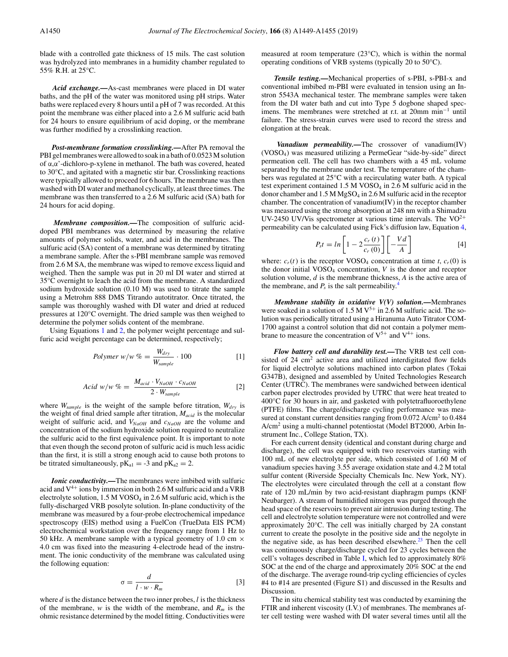blade with a controlled gate thickness of 15 mils. The cast solution was hydrolyzed into membranes in a humidity chamber regulated to 55% R.H. at 25°C.

*Acid exchange.—*As-cast membranes were placed in DI water baths, and the pH of the water was monitored using pH strips. Water baths were replaced every 8 hours until a pH of 7 was recorded. At this point the membrane was either placed into a 2.6 M sulfuric acid bath for 24 hours to ensure equilibrium of acid doping, or the membrane was further modified by a crosslinking reaction.

*Post-membrane formation crosslinking.—*After PA removal the PBI gel membranes were allowed to soak in a bath of 0.0523 M solution of α,α'-dichloro-p-xylene in methanol. The bath was covered, heated to 30°C, and agitated with a magnetic stir bar. Crosslinking reactions were typically allowed to proceed for 6 hours. The membrane was then washed with DI water and methanol cyclically, at least three times. The membrane was then transferred to a 2.6 M sulfuric acid (SA) bath for 24 hours for acid doping.

*Membrane composition.—*The composition of sulfuric aciddoped PBI membranes was determined by measuring the relative amounts of polymer solids, water, and acid in the membranes. The sulfuric acid (SA) content of a membrane was determined by titrating a membrane sample. After the s-PBI membrane sample was removed from 2.6 M SA, the membrane was wiped to remove excess liquid and weighed. Then the sample was put in 20 ml DI water and stirred at 35°C overnight to leach the acid from the membrane. A standardized sodium hydroxide solution (0.10 M) was used to titrate the sample using a Metrohm 888 DMS Titrando autotitrator. Once titrated, the sample was thoroughly washed with DI water and dried at reduced pressures at 120°C overnight. The dried sample was then weighed to determine the polymer solids content of the membrane.

Using Equations 1 and 2, the polymer weight percentage and sulfuric acid weight percentage can be determined, respectively;

$$
Polymer \ w/w \ \% = \frac{W_{dry}}{W_{sample}} \cdot 100 \tag{1}
$$

$$
Acid \ w/w \ \% = \ \frac{M_{acid} \cdot V_{NaOH} \cdot c_{NaOH}}{2 \cdot W_{sample}} \tag{2}
$$

where *Wsample* is the weight of the sample before titration, *Wdry* is the weight of final dried sample after titration, *Macid* is the molecular weight of sulfuric acid, and  $V_{NaOH}$  and  $c_{NaOH}$  are the volume and concentration of the sodium hydroxide solution required to neutralize the sulfuric acid to the first equivalence point. It is important to note that even though the second proton of sulfuric acid is much less acidic than the first, it is still a strong enough acid to cause both protons to be titrated simultaneously,  $pK_{a1} = -3$  and  $pK_{a2} = 2$ .

*Ionic conductivity.—The membranes were imbibed with sulfuric* acid and  $V^{4+}$  ions by immersion in both 2.6 M sulfuric acid and a VRB electrolyte solution, 1.5 M VOSO<sub>4</sub> in 2.6 M sulfuric acid, which is the fully-discharged VRB posolyte solution. In-plane conductivity of the membrane was measured by a four-probe electrochemical impedance spectroscopy (EIS) method using a FuelCon (TrueData EIS PCM) electrochemical workstation over the frequency range from 1 Hz to 50 kHz. A membrane sample with a typical geometry of 1.0 cm  $\times$ 4.0 cm was fixed into the measuring 4-electrode head of the instrument. The ionic conductivity of the membrane was calculated using the following equation:

$$
\sigma = \frac{d}{l \cdot w \cdot R_m} \tag{3}
$$

where *d* is the distance between the two inner probes, *l* is the thickness of the membrane, *w* is the width of the membrane, and  $R_m$  is the ohmic resistance determined by the model fitting. Conductivities were measured at room temperature (23°C), which is within the normal operating conditions of VRB systems (typically 20 to 50°C).

*Tensile testing.—*Mechanical properties of s-PBI, s-PBI-x and conventional imbibed m-PBI were evaluated in tension using an Instron 5543A mechanical tester. The membrane samples were taken from the DI water bath and cut into Type 5 dogbone shaped specimens. The membranes were stretched at r.t. at 20mm min−<sup>1</sup> until failure. The stress-strain curves were used to record the stress and elongation at the break.

*Vanadium permeability.—*The crossover of vanadium(IV) (VOSO4) was measured utilizing a PermeGear "side-by-side" direct permeation cell. The cell has two chambers with a 45 mL volume separated by the membrane under test. The temperature of the chambers was regulated at 25°C with a recirculating water bath. A typical test experiment contained  $1.5 M VOSO<sub>4</sub>$  in 2.6 M sulfuric acid in the donor chamber and 1.5 M MgSO4 in 2.6 M sulfuric acid in the receptor chamber. The concentration of vanadium(IV) in the receptor chamber was measured using the strong absorption at 248 nm with a Shimadzu UV-2450 UV/Vis spectrometer at various time intervals. The  $VO^{2+}$ permeability can be calculated using Fick's diffusion law, Equation 4,

$$
P_{s}t = \ln\left[1 - 2\frac{c_r(t)}{c_r(0)}\right] \left[-\frac{Vd}{A}\right]
$$
 [4]

where:  $c_r(t)$  is the receptor VOSO<sub>4</sub> concentration at time *t*,  $c_r(0)$  is the donor initial  $VOSO<sub>4</sub>$  concentration,  $V$  is the donor and receptor solution volume, *d* is the membrane thickness, *A* is the active area of the membrane, and  $P_s$  is the salt permeability.<sup>4</sup>

*Membrane stability in oxidative V(V) solution.—*Membranes were soaked in a solution of 1.5 M  $V^{5+}$  in 2.6 M sulfuric acid. The solution was periodically titrated using a Hiranuma Auto Titrator COM-1700 against a control solution that did not contain a polymer membrane to measure the concentration of  $V^{5+}$  and  $V^{4+}$  ions.

*Flow battery cell and durability test.—*The VRB test cell consisted of  $24 \text{ cm}^2$  active area and utilized interdigitated flow fields for liquid electrolyte solutions machined into carbon plates (Tokai G347B), designed and assembled by United Technologies Research Center (UTRC). The membranes were sandwiched between identical carbon paper electrodes provided by UTRC that were heat treated to 400°C for 30 hours in air, and gasketed with polytetrafluoroethylene (PTFE) films. The charge/discharge cycling performance was measured at constant current densities ranging from 0.072 A/cm<sup>2</sup> to 0.484 A/cm2 using a multi-channel potentiostat (Model BT2000, Arbin Instrument Inc., College Station, TX).

For each current density (identical and constant during charge and discharge), the cell was equipped with two reservoirs starting with 100 mL of new electrolyte per side, which consisted of 1.60 M of vanadium species having 3.55 average oxidation state and 4.2 M total sulfur content (Riverside Specialty Chemicals Inc. New York, NY). The electrolytes were circulated through the cell at a constant flow rate of 120 mL/min by two acid-resistant diaphragm pumps (KNF Neubarger). A stream of humidified nitrogen was purged through the head space of the reservoirs to prevent air intrusion during testing. The cell and electrolyte solution temperature were not controlled and were approximately 20°C. The cell was initially charged by 2A constant current to create the posolyte in the positive side and the negolyte in the negative side, as has been described elsewhere.<sup>23</sup> Then the cell was continuously charge/discharge cycled for 23 cycles between the cell's voltages described in Table I, which led to approximately 80% SOC at the end of the charge and approximately 20% SOC at the end of the discharge. The average round-trip cycling efficiencies of cycles #4 to #14 are presented (Figure S1) and discussed in the Results and **Discussion** 

The in situ chemical stability test was conducted by examining the FTIR and inherent viscosity (I.V.) of membranes. The membranes after cell testing were washed with DI water several times until all the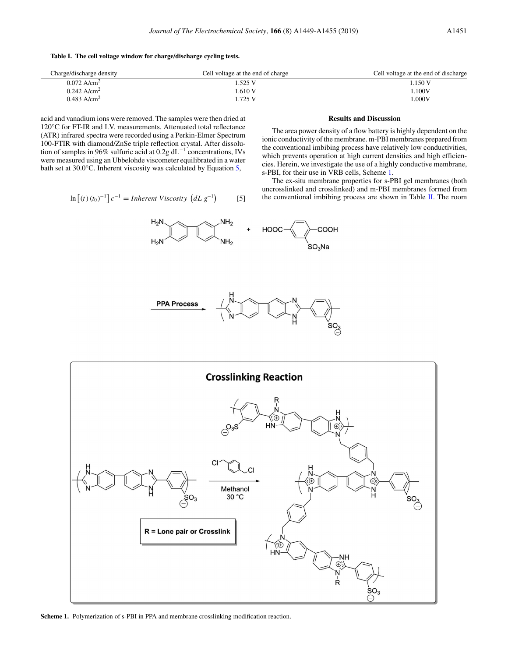#### **Table I. The cell voltage window for charge/discharge cycling tests.**

| Charge/discharge density  | Cell voltage at the end of charge | Cell voltage at the end of discharge |
|---------------------------|-----------------------------------|--------------------------------------|
| $0.072$ A/cm <sup>2</sup> | 1.525 V                           | 1.150 V                              |
| $0.242$ A/cm <sup>2</sup> | 1.610V                            | L100V                                |
| $0.483$ A/cm <sup>2</sup> | 1.725 V                           | $1.000\mathrm{V}$                    |

acid and vanadium ions were removed. The samples were then dried at 120°C for FT-IR and I.V. measurements. Attenuated total reflectance (ATR) infrared spectra were recorded using a Perkin-Elmer Spectrum 100-FTIR with diamond/ZnSe triple reflection crystal. After dissolution of samples in 96% sulfuric acid at 0.2g dL−<sup>1</sup> concentrations, IVs were measured using an Ubbelohde viscometer equilibrated in a water bath set at 30.0°C. Inherent viscosity was calculated by Equation 5,

$$
\ln\left[(t)\left(t_0\right)^{-1}\right]c^{-1} = Inherent Viscosity\left(dL\,g^{-1}\right) \tag{5}
$$

# **Results and Discussion**

The area power density of a flow battery is highly dependent on the ionic conductivity of the membrane. m-PBI membranes prepared from the conventional imbibing process have relatively low conductivities, which prevents operation at high current densities and high efficiencies. Herein, we investigate the use of a highly conductive membrane, s-PBI, for their use in VRB cells, Scheme 1.

The ex-situ membrane properties for s-PBI gel membranes (both uncrosslinked and crosslinked) and m-PBI membranes formed from the conventional imbibing process are shown in Table II. The room







**Scheme 1.** Polymerization of s-PBI in PPA and membrane crosslinking modification reaction.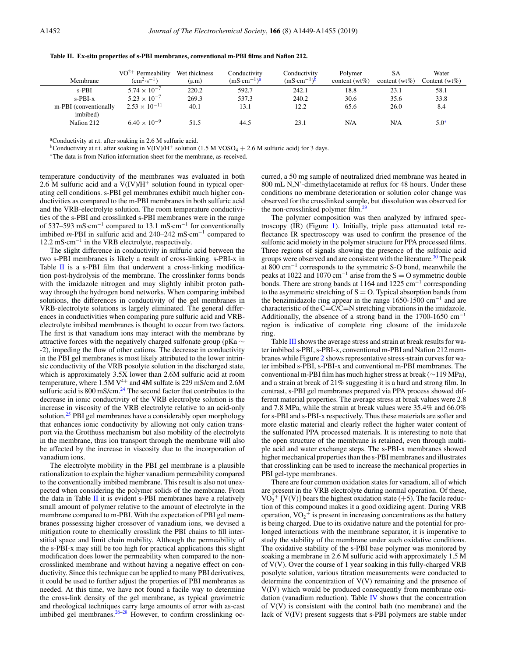| Membrane                          | $VO^{2+}$ Permeability<br>$\rm (cm^2 \cdot s^{-1})$ | Wet thickness<br>$(\mu m)$ | Conductivity<br>$(mS \cdot cm^{-1})^a$ | Conductivity<br>$(mS \cdot cm^{-1})^b$ | Polymer<br>content ( $wt\%$ ) | SΑ<br>content ( $wt\%$ ) | Water<br>Content (wt $\%$ ) |
|-----------------------------------|-----------------------------------------------------|----------------------------|----------------------------------------|----------------------------------------|-------------------------------|--------------------------|-----------------------------|
| $s-PBI$                           | $5.74 \times 10^{-7}$                               | 220.2                      | 592.7                                  | 242.1                                  | 18.8                          | 23.1                     | 58.1                        |
| $s-PBI-x$                         | $5.23 \times 10^{-7}$                               | 269.3                      | 537.3                                  | 240.2                                  | 30.6                          | 35.6                     | 33.8                        |
| m-PBI (conventionally<br>imbibed) | $2.53 \times 10^{-11}$                              | 40.1                       | 13.1                                   | 12.2                                   | 65.6                          | 26.0                     | 8.4                         |
| Nation 212                        | $6.40 \times 10^{-9}$                               | 51.5                       | 44.5                                   | 23.1                                   | N/A                           | N/A                      | $5.0*$                      |

#### **Table II. Ex-situ properties of s-PBI membranes, conventional m-PBI films and Nafion 212.**

<sup>a</sup>Conductivity at r.t. after soaking in 2.6 M sulfuric acid.

<sup>b</sup>Conductivity at r.t. after soaking in V(IV)/H<sup>+</sup> solution (1.5 M VOSO<sub>4</sub> + 2.6 M sulfuric acid) for 3 days.

∗The data is from Nafion information sheet for the membrane, as-received.

temperature conductivity of the membranes was evaluated in both 2.6 M sulfuric acid and a  $V(IV)/H^+$  solution found in typical operating cell conditions. s-PBI gel membranes exhibit much higher conductivities as compared to the m-PBI membranes in both sulfuric acid and the VRB-electrolyte solution. The room temperature conductivities of the s-PBI and crosslinked s-PBI membranes were in the range of 537–593 mS·cm−<sup>1</sup> compared to 13.1 mS·cm−<sup>1</sup> for conventionally imbibed *m*-PBI in sulfuric acid and 240–242 mS·cm−<sup>1</sup> compared to 12.2 mS·cm−<sup>1</sup> in the VRB electrolyte, respectively.

The slight difference in conductivity in sulfuric acid between the two s-PBI membranes is likely a result of cross-linking. s-PBI-x in Table II is a s-PBI film that underwent a cross-linking modification post-hydrolysis of the membrane. The crosslinker forms bonds with the imidazole nitrogen and may slightly inhibit proton pathway through the hydrogen bond networks. When comparing imbibed solutions, the differences in conductivity of the gel membranes in VRB-electrolyte solutions is largely eliminated. The general differences in conductivities when comparing pure sulfuric acid and VRBelectrolyte imbibed membranes is thought to occur from two factors. The first is that vanadium ions may interact with the membrane by attractive forces with the negatively charged sulfonate group (pKa ∼ -2), impeding the flow of other cations. The decrease in conductivity in the PBI gel membranes is most likely attributed to the lower intrinsic conductivity of the VRB posolyte solution in the discharged state, which is approximately 3.5X lower than 2.6M sulfuric acid at room temperature, where 1.5M  $V^{4+}$  and 4M sulfate is 229 mS/cm and 2.6M sulfuric acid is 800 mS/cm.<sup>24</sup> The second factor that contributes to the decrease in ionic conductivity of the VRB electrolyte solution is the increase in viscosity of the VRB electrolyte relative to an acid-only solution.<sup>25</sup> PBI gel membranes have a considerably open morphology that enhances ionic conductivity by allowing not only cation transport via the Grotthuss mechanism but also mobility of the electrolyte in the membrane, thus ion transport through the membrane will also be affected by the increase in viscosity due to the incorporation of vanadium ions.

The electrolyte mobility in the PBI gel membrane is a plausible rationalization to explain the higher vanadium permeability compared to the conventionally imbibed membrane. This result is also not unexpected when considering the polymer solids of the membrane. From the data in Table II it is evident s-PBI membranes have a relatively small amount of polymer relative to the amount of electrolyte in the membrane compared to m-PBI. With the expectation of PBI gel membranes possessing higher crossover of vanadium ions, we devised a mitigation route to chemically crosslink the PBI chains to fill interstitial space and limit chain mobility. Although the permeability of the s-PBI-x may still be too high for practical applications this slight modification does lower the permeability when compared to the noncrosslinked membrane and without having a negative effect on conductivity. Since this technique can be applied to many PBI derivatives, it could be used to further adjust the properties of PBI membranes as needed. At this time, we have not found a facile way to determine the cross-link density of the gel membrane, as typical gravimetric and rheological techniques carry large amounts of error with as-cast imbibed gel membranes. $26-28$  However, to confirm crosslinking occurred, a 50 mg sample of neutralized dried membrane was heated in 800 mL N,N'-dimethylacetamide at reflux for 48 hours. Under these conditions no membrane deterioration or solution color change was observed for the crosslinked sample, but dissolution was observed for the non-crosslinked polymer film.<sup>29</sup>

The polymer composition was then analyzed by infrared spectroscopy (IR) (Figure 1). Initially, triple pass attenuated total reflectance IR spectroscopy was used to confirm the presence of the sulfonic acid moiety in the polymer structure for PPA processed films. Three regions of signals showing the presence of the sulfonic acid groups were observed and are consistent with the literature.<sup>30</sup> The peak at 800 cm−<sup>1</sup> corresponds to the symmetric S-O bond, meanwhile the peaks at 1022 and 1070 cm<sup>-1</sup> arise from the  $S = O$  symmetric double bonds. There are strong bands at 1164 and 1225 cm−<sup>1</sup> corresponding to the asymmetric stretching of  $S = O$ . Typical absorption bands from the benzimidazole ring appear in the range 1650-1500 cm−<sup>1</sup> and are characteristic of the  $C=CC=N$  stretching vibrations in the imidazole. Additionally, the absence of a strong band in the 1700-1650 cm−<sup>1</sup> region is indicative of complete ring closure of the imidazole ring.

Table  $III$  shows the average stress and strain at break results for water imbibed s-PBI, s-PBI-x, conventional m-PBI and Nafion 212 membranes while Figure 2 shows representative stress-strain curves for water imbibed s-PBI, s-PBI-x and conventional m-PBI membranes. The conventional m-PBI film has much higher stress at break (∼119 MPa), and a strain at break of 21% suggesting it is a hard and strong film. In contrast, s-PBI gel membranes prepared via PPA process showed different material properties. The average stress at break values were 2.8 and 7.8 MPa, while the strain at break values were 35.4% and 66.0% for s-PBI and s-PBI-x respectively. Thus these materials are softer and more elastic material and clearly reflect the higher water content of the sulfonated PPA processed materials. It is interesting to note that the open structure of the membrane is retained, even through multiple acid and water exchange steps. The s-PBI-x membranes showed higher mechanical properties than the s-PBI membranes and illustrates that crosslinking can be used to increase the mechanical properties in PBI gel-type membranes.

There are four common oxidation states for vanadium, all of which are present in the VRB electrolyte during normal operation. Of these,  $VO_2^+$  [V(V)] bears the highest oxidation state (+5). The facile reduction of this compound makes it a good oxidizing agent. During VRB operation,  $VO_2$ <sup>+</sup> is present in increasing concentrations as the battery is being charged. Due to its oxidative nature and the potential for prolonged interactions with the membrane separator, it is imperative to study the stability of the membrane under such oxidative conditions. The oxidative stability of the s-PBI base polymer was monitored by soaking a membrane in 2.6 M sulfuric acid with approximately 1.5 M of V(V). Over the course of 1 year soaking in this fully-charged VRB posolyte solution, various titration measurements were conducted to determine the concentration of  $V(V)$  remaining and the presence of V(IV) which would be produced consequently from membrane oxidation (vanadium reduction). Table IV shows that the concentration of  $V(V)$  is consistent with the control bath (no membrane) and the lack of V(IV) present suggests that s-PBI polymers are stable under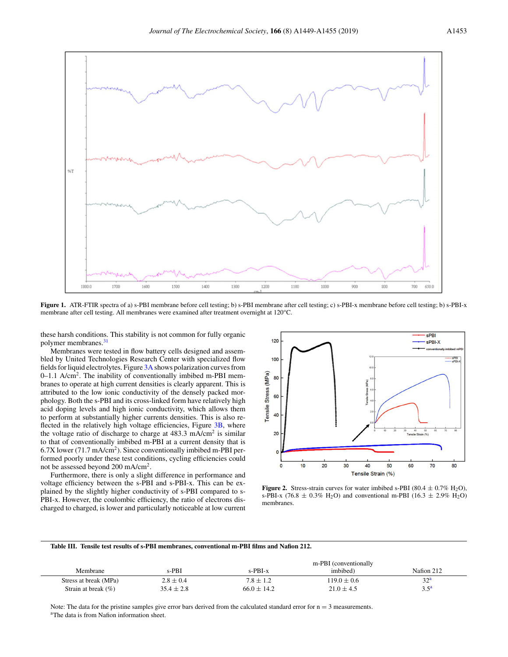

**Figure 1.** ATR-FTIR spectra of a) s-PBI membrane before cell testing; b) s-PBI membrane after cell testing; c) s-PBI-x membrane before cell testing; b) s-PBI-x membrane after cell testing. All membranes were examined after treatment overnight at 120°C.

these harsh conditions. This stability is not common for fully organic polymer membranes.<sup>31</sup>

Membranes were tested in flow battery cells designed and assembled by United Technologies Research Center with specialized flow fields for liquid electrolytes. Figure 3A shows polarization curves from 0–1.1 A/cm2. The inability of conventionally imbibed m-PBI membranes to operate at high current densities is clearly apparent. This is attributed to the low ionic conductivity of the densely packed morphology. Both the s-PBI and its cross-linked form have relatively high acid doping levels and high ionic conductivity, which allows them to perform at substantially higher currents densities. This is also reflected in the relatively high voltage efficiencies, Figure 3B, where the voltage ratio of discharge to charge at  $483.3 \text{ mA/cm}^2$  is similar to that of conventionally imbibed m-PBI at a current density that is 6.7X lower (71.7 mA/cm2). Since conventionally imbibed m-PBI performed poorly under these test conditions, cycling efficiencies could not be assessed beyond 200 mA/cm2.

Furthermore, there is only a slight difference in performance and voltage efficiency between the s-PBI and s-PBI-x. This can be explained by the slightly higher conductivity of s-PBI compared to s-PBI-x. However, the coulombic efficiency, the ratio of electrons discharged to charged, is lower and particularly noticeable at low current



**Figure 2.** Stress-strain curves for water imbibed s-PBI (80.4  $\pm$  0.7% H<sub>2</sub>O), s-PBI-x (76.8  $\pm$  0.3% H<sub>2</sub>O) and conventional m-PBI (16.3  $\pm$  2.9% H<sub>2</sub>O) membranes.

#### **Table III. Tensile test results of s-PBI membranes, conventional m-PBI films and Nafion 212.**

|                         |                |                 | m-PBI (conventionally |                  |
|-------------------------|----------------|-----------------|-----------------------|------------------|
| Membrane                | $s-PBI$        | s-PBI-x         | imbibed)              | Nafion 212       |
| Stress at break (MPa)   | $2.8 \pm 0.4$  | $7.8 \pm 1.2$   | $119.0 \pm 0.6$       | 32 <sup>a</sup>  |
| Strain at break $(\% )$ | $35.4 \pm 2.8$ | $66.0 \pm 14.2$ | $21.0 \pm 4.5$        | 3.5 <sup>a</sup> |

Note: The data for the pristine samples give error bars derived from the calculated standard error for  $n = 3$  measurements. <sup>a</sup>The data is from Nafion information sheet.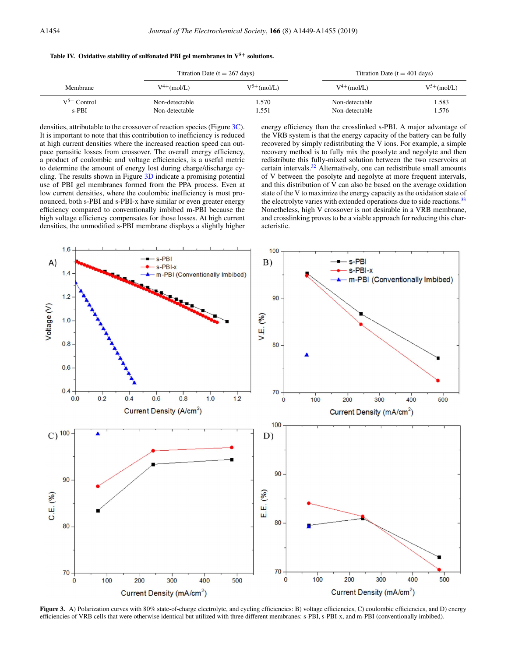|  |  |  | Table IV. Oxidative stability of sulfonated PBI gel membranes in $V^{5+}$ solutions. |  |
|--|--|--|--------------------------------------------------------------------------------------|--|
|--|--|--|--------------------------------------------------------------------------------------|--|

| Membrane                    |                                  | Titration Date $(t = 267 \text{ days})$ |                                  | Titration Date $(t = 401$ days) |  |
|-----------------------------|----------------------------------|-----------------------------------------|----------------------------------|---------------------------------|--|
|                             | $V^{4+}$ (mol/L)                 | $V^{5+}$ (mol/L)                        | $V^{4+}$ (mol/L)                 | $V^{5+}$ (mol/L)                |  |
| $V^{5+}$ Control<br>$s-PBI$ | Non-detectable<br>Non-detectable | .570<br>.551                            | Non-detectable<br>Non-detectable | 1.583<br>1.576                  |  |

densities, attributable to the crossover of reaction species (Figure 3C). It is important to note that this contribution to inefficiency is reduced at high current densities where the increased reaction speed can outpace parasitic losses from crossover. The overall energy efficiency, a product of coulombic and voltage efficiencies, is a useful metric to determine the amount of energy lost during charge/discharge cycling. The results shown in Figure 3D indicate a promising potential use of PBI gel membranes formed from the PPA process. Even at low current densities, where the coulombic inefficiency is most pronounced, both s-PBI and s-PBI-x have similar or even greater energy efficiency compared to conventionally imbibed m-PBI because the high voltage efficiency compensates for those losses. At high current densities, the unmodified s-PBI membrane displays a slightly higher energy efficiency than the crosslinked s-PBI. A major advantage of the VRB system is that the energy capacity of the battery can be fully recovered by simply redistributing the V ions. For example, a simple recovery method is to fully mix the posolyte and negolyte and then redistribute this fully-mixed solution between the two reservoirs at certain intervals. $32$  Alternatively, one can redistribute small amounts of V between the posolyte and negolyte at more frequent intervals, and this distribution of V can also be based on the average oxidation state of the V to maximize the energy capacity as the oxidation state of the electrolyte varies with extended operations due to side reactions.<sup>33</sup> Nonetheless, high V crossover is not desirable in a VRB membrane, and crosslinking proves to be a viable approach for reducing this characteristic.



**Figure 3.** A) Polarization curves with 80% state-of-charge electrolyte, and cycling efficiencies: B) voltage efficiencies, C) coulombic efficiencies, and D) energy efficiencies of VRB cells that were otherwise identical but utilized with three different membranes: s-PBI, s-PBI-x, and m-PBI (conventionally imbibed).